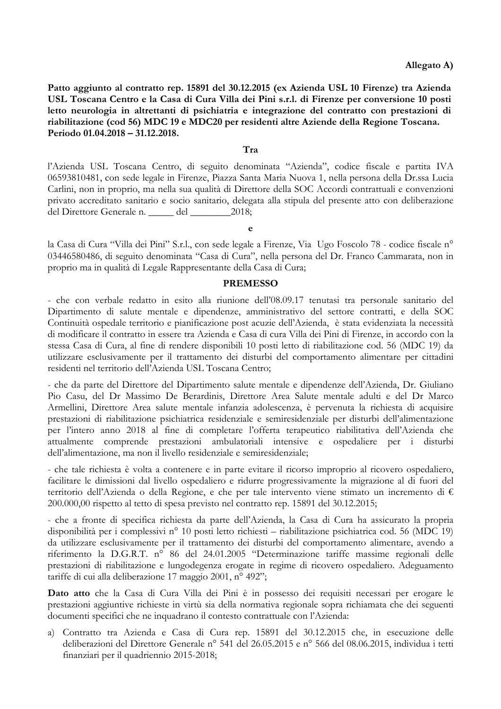Patto aggiunto al contratto rep. 15891 del 30.12.2015 (ex Azienda USL 10 Firenze) tra Azienda USL Toscana Centro e la Casa di Cura Villa dei Pini s.r.l. di Firenze per conversione 10 posti letto neurologia in altrettanti di psichiatria e integrazione del contratto con prestazioni di riabilitazione (cod 56) MDC 19 e MDC20 per residenti altre Aziende della Regione Toscana. Periodo 01.04.2018 - 31.12.2018.

## Tra

l'Azienda USL Toscana Centro, di seguito denominata "Azienda", codice fiscale e partita IVA 06593810481, con sede legale in Firenze, Piazza Santa Maria Nuova 1, nella persona della Dr.ssa Lucia Carlini, non in proprio, ma nella sua qualità di Direttore della SOC Accordi contrattuali e convenzioni privato accreditato sanitario e socio sanitario, delegata alla stipula del presente atto con deliberazione del Direttore Generale n. \_\_\_\_\_ del \_\_\_\_\_\_\_ 2018;

la Casa di Cura "Villa dei Pini" S.r.l., con sede legale a Firenze, Via Ugo Foscolo 78 - codice fiscale nº 03446580486, di seguito denominata "Casa di Cura", nella persona del Dr. Franco Cammarata, non in proprio ma in qualità di Legale Rappresentante della Casa di Cura;

## **PREMESSO**

- che con verbale redatto in esito alla riunione dell'08.09.17 tenutasi tra personale sanitario del Dipartimento di salute mentale e dipendenze, amministrativo del settore contratti, e della SOC Continuità ospedale territorio e pianificazione post acuzie dell'Azienda, è stata evidenziata la necessità di modificare il contratto in essere tra Azienda e Casa di cura Villa dei Pini di Firenze, in accordo con la stessa Casa di Cura, al fine di rendere disponibili 10 posti letto di riabilitazione cod. 56 (MDC 19) da utilizzare esclusivamente per il trattamento dei disturbi del comportamento alimentare per cittadini residenti nel territorio dell'Azienda USL Toscana Centro;

- che da parte del Direttore del Dipartimento salute mentale e dipendenze dell'Azienda, Dr. Giuliano Pio Casu, del Dr Massimo De Berardinis, Direttore Area Salute mentale adulti e del Dr Marco Armellini, Direttore Area salute mentale infanzia adolescenza, è pervenuta la richiesta di acquisire prestazioni di riabilitazione psichiatrica residenziale e semiresidenziale per disturbi dell'alimentazione per l'intero anno 2018 al fine di completare l'offerta terapeutico riabilitativa dell'Azienda che attualmente comprende prestazioni ambulatoriali intensive e ospedaliere per i disturbi dell'alimentazione, ma non il livello residenziale e semiresidenziale;

- che tale richiesta è volta a contenere e in parte evitare il ricorso improprio al ricovero ospedaliero, facilitare le dimissioni dal livello ospedaliero e ridurre progressivamente la migrazione al di fuori del territorio dell'Azienda o della Regione, e che per tale intervento viene stimato un incremento di € 200,000,00 rispetto al tetto di spesa previsto nel contratto rep. 15891 del 30.12.2015;

- che a fronte di specifica richiesta da parte dell'Azienda, la Casa di Cura ha assicurato la propria disponibilità per i complessivi nº 10 posti letto richiesti – riabilitazione psichiatrica cod. 56 (MDC 19) da utilizzare esclusivamente per il trattamento dei disturbi del comportamento alimentare, avendo a riferimento la D.G.R.T. nº 86 del 24.01.2005 "Determinazione tariffe massime regionali delle prestazioni di riabilitazione e lungodegenza erogate in regime di ricovero ospedaliero. Adeguamento tariffe di cui alla deliberazione 17 maggio 2001, nº 492";

Dato atto che la Casa di Cura Villa dei Pini è in possesso dei requisiti necessari per erogare le prestazioni aggiuntive richieste in virtù sia della normativa regionale sopra richiamata che dei seguenti documenti specifici che ne inquadrano il contesto contrattuale con l'Azienda:

a) Contratto tra Azienda e Casa di Cura rep. 15891 del 30.12.2015 che, in esecuzione delle deliberazioni del Direttore Generale nº 541 del 26.05.2015 e nº 566 del 08.06.2015, individua i tetti finanziari per il quadriennio 2015-2018;

 $\Delta$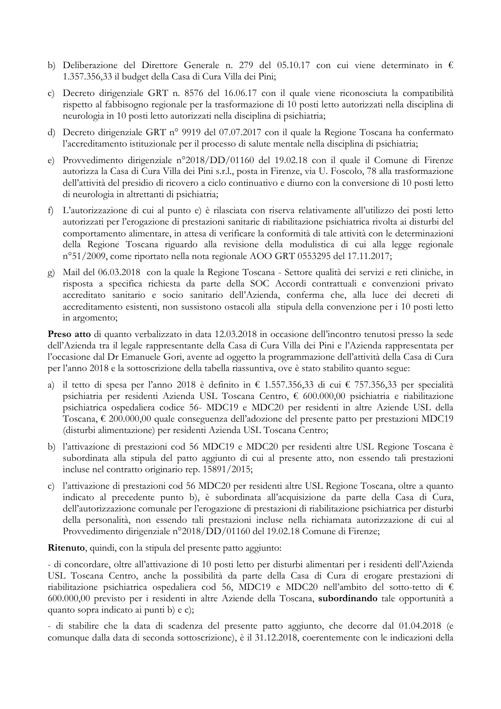- b) Deliberazione del Direttore Generale n. 279 del 05.10.17 con cui viene determinato in  $\epsilon$ 1.357.356,33 il budget della Casa di Cura Villa dei Pini;
- c) Decreto dirigenziale GRT n. 8576 del 16.06.17 con il quale viene riconosciuta la compatibilità rispetto al fabbisogno regionale per la trasformazione di 10 posti letto autorizzati nella disciplina di neurologia in 10 posti letto autorizzati nella disciplina di psichiatria;
- d) Decreto dirigenziale GRT nº 9919 del 07.07.2017 con il quale la Regione Toscana ha confermato l'accreditamento istituzionale per il processo di salute mentale nella disciplina di psichiatria;
- e) Provvedimento dirigenziale n°2018/DD/01160 del 19.02.18 con il quale il Comune di Firenze autorizza la Casa di Cura Villa dei Pini s.r.l., posta in Firenze, via U. Foscolo, 78 alla trasformazione dell'attività del presidio di ricovero a ciclo continuativo e diurno con la conversione di 10 posti letto di neurologia in altrettanti di psichiatria;
- f) L'autorizzazione di cui al punto e) è rilasciata con riserva relativamente all'utilizzo dei posti letto autorizzati per l'erogazione di prestazioni sanitarie di riabilitazione psichiatrica rivolta ai disturbi del comportamento alimentare, in attesa di verificare la conformità di tale attività con le determinazioni della Regione Toscana riguardo alla revisione della modulistica di cui alla legge regionale n°51/2009, come riportato nella nota regionale AOO GRT 0553295 del 17.11.2017;
- g) Mail del 06.03.2018 con la quale la Regione Toscana Settore qualità dei servizi e reti cliniche, in risposta a specifica richiesta da parte della SOC Accordi contrattuali e convenzioni privato accreditato sanitario e socio sanitario dell'Azienda, conferma che, alla luce dei decreti di accreditamento esistenti, non sussistono ostacoli alla stipula della convenzione per i 10 posti letto in argomento;

**Preso atto** di quanto verbalizzato in data 12.03.2018 in occasione dell'incontro tenutosi presso la sede dell'Azienda tra il legale rappresentante della Casa di Cura Villa dei Pini e l'Azienda rappresentata per l'occasione dal Dr Emanuele Gori, avente ad oggetto la programmazione dell'attività della Casa di Cura per l'anno 2018 e la sottoscrizione della tabella riassuntiva, ove è stato stabilito quanto segue:

- a) il tetto di spesa per l'anno 2018 è definito in € 1.557.356,33 di cui € 757.356,33 per specialità psichiatria per residenti Azienda USL Toscana Centro, € 600.000,00 psichiatria e riabilitazione psichiatrica ospedaliera codice 56- MDC19 e MDC20 per residenti in altre Aziende USL della Toscana, € 200.000,00 quale conseguenza dell'adozione del presente patto per prestazioni MDC19 (disturbi alimentazione) per residenti Azienda USL Toscana Centro;
- b) l'attivazione di prestazioni cod 56 MDC19 e MDC20 per residenti altre USL Regione Toscana è subordinata alla stipula del patto aggiunto di cui al presente atto, non essendo tali prestazioni incluse nel contratto originario rep. 15891/2015;
- c) l'attivazione di prestazioni cod 56 MDC20 per residenti altre USL Regione Toscana, oltre a quanto indicato al precedente punto b), è subordinata all'acquisizione da parte della Casa di Cura, dell'autorizzazione comunale per l'erogazione di prestazioni di riabilitazione psichiatrica per disturbi della personalità, non essendo tali prestazioni incluse nella richiamata autorizzazione di cui al Provvedimento dirigenziale n°2018/DD/01160 del 19.02.18 Comune di Firenze;

Ritenuto, quindi, con la stipula del presente patto aggiunto:

- di concordare, oltre all'attivazione di 10 posti letto per disturbi alimentari per i residenti dell'Azienda USL Toscana Centro, anche la possibilità da parte della Casa di Cura di erogare prestazioni di riabilitazione psichiatrica ospedaliera cod 56, MDC19 e MDC20 nell'ambito del sotto-tetto di  $\epsilon$ 600.000,00 previsto per i residenti in altre Aziende della Toscana, subordinando tale opportunità a quanto sopra indicato ai punti b) e c);

- di stabilire che la data di scadenza del presente patto aggiunto, che decorre dal 01.04.2018 (e comunque dalla data di seconda sottoscrizione), è il 31.12.2018, coerentemente con le indicazioni della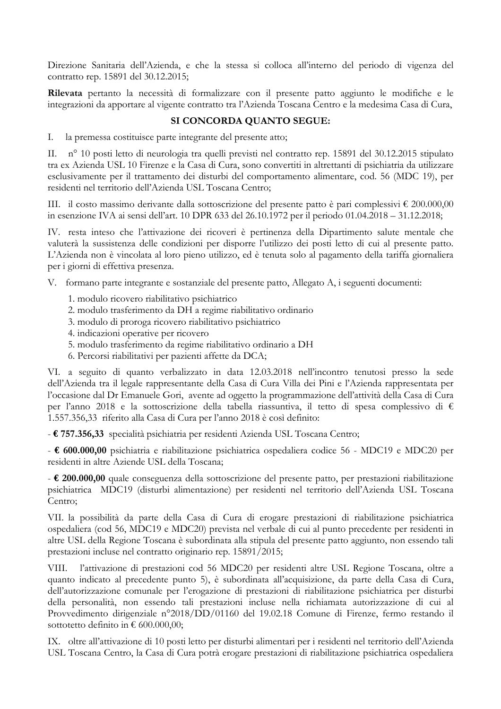Direzione Sanitaria dell'Azienda, e che la stessa si colloca all'interno del periodo di vigenza del contratto rep. 15891 del 30.12.2015;

Rilevata pertanto la necessità di formalizzare con il presente patto aggiunto le modifiche e le integrazioni da apportare al vigente contratto tra l'Azienda Toscana Centro e la medesima Casa di Cura,

## SI CONCORDA QUANTO SEGUE:

 $\overline{L}$ la premessa costituisce parte integrante del presente atto;

II. nº 10 posti letto di neurologia tra quelli previsti nel contratto rep. 15891 del 30.12.2015 stipulato tra ex Azienda USL 10 Firenze e la Casa di Cura, sono convertiti in altrettanti di psichiatria da utilizzare esclusivamente per il trattamento dei disturbi del comportamento alimentare, cod. 56 (MDC 19), per residenti nel territorio dell'Azienda USL Toscana Centro;

III. il costo massimo derivante dalla sottoscrizione del presente patto è pari complessivi  $\epsilon$  200.000,00 in esenzione IVA ai sensi dell'art. 10 DPR 633 del 26.10.1972 per il periodo 01.04.2018 - 31.12.2018;

IV. resta inteso che l'attivazione dei ricoveri è pertinenza della Dipartimento salute mentale che valuterà la sussistenza delle condizioni per disporre l'utilizzo dei posti letto di cui al presente patto. L'Azienda non è vincolata al loro pieno utilizzo, ed è tenuta solo al pagamento della tariffa giornaliera per i giorni di effettiva presenza.

V. formano parte integrante e sostanziale del presente patto, Allegato A, i seguenti documenti:

- 1. modulo ricovero riabilitativo psichiatrico
- 2. modulo trasferimento da DH a regime riabilitativo ordinario
- 3. modulo di proroga ricovero riabilitativo psichiatrico
- 4. indicazioni operative per ricovero
- 5. modulo trasferimento da regime riabilitativo ordinario a DH
- 6. Percorsi riabilitativi per pazienti affette da DCA;

VI. a seguito di quanto verbalizzato in data 12.03.2018 nell'incontro tenutosi presso la sede dell'Azienda tra il legale rappresentante della Casa di Cura Villa dei Pini e l'Azienda rappresentata per l'occasione dal Dr Emanuele Gori, avente ad oggetto la programmazione dell'attività della Casa di Cura per l'anno 2018 e la sottoscrizione della tabella riassuntiva, il tetto di spesa complessivo di € 1.557.356,33 riferito alla Casa di Cura per l'anno 2018 è così definito:

- € 757.356,33 specialità psichiatria per residenti Azienda USL Toscana Centro;

-  $\epsilon$  600.000,00 psichiatria e riabilitazione psichiatrica ospedaliera codice 56 - MDC19 e MDC20 per residenti in altre Aziende USL della Toscana;

 $\pm 200.000,00$  quale conseguenza della sottoscrizione del presente patto, per prestazioni riabilitazione psichiatrica MDC19 (disturbi alimentazione) per residenti nel territorio dell'Azienda USL Toscana Centro:

VII. la possibilità da parte della Casa di Cura di erogare prestazioni di riabilitazione psichiatrica ospedaliera (cod 56, MDC19 e MDC20) prevista nel verbale di cui al punto precedente per residenti in altre USL della Regione Toscana è subordinata alla stipula del presente patto aggiunto, non essendo tali prestazioni incluse nel contratto originario rep. 15891/2015;

l'attivazione di prestazioni cod 56 MDC20 per residenti altre USL Regione Toscana, oltre a VIII. quanto indicato al precedente punto 5), è subordinata all'acquisizione, da parte della Casa di Cura, dell'autorizzazione comunale per l'erogazione di prestazioni di riabilitazione psichiatrica per disturbi della personalità, non essendo tali prestazioni incluse nella richiamata autorizzazione di cui al Provvedimento dirigenziale n°2018/DD/01160 del 19.02.18 Comune di Firenze, fermo restando il sottotetto definito in  $\epsilon$  600.000,00;

IX. oltre all'attivazione di 10 posti letto per disturbi alimentari per i residenti nel territorio dell'Azienda USL Toscana Centro, la Casa di Cura potrà erogare prestazioni di riabilitazione psichiatrica ospedaliera